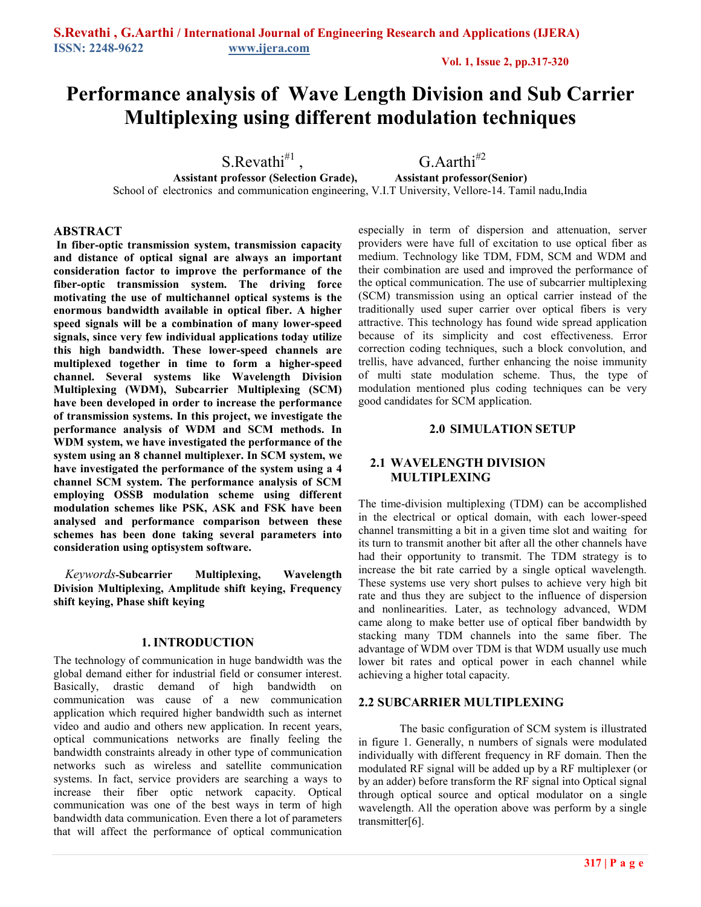# **Performance analysis of Wave Length Division and Sub Carrier Multiplexing using different modulation techniques**

S.Revathi<sup>#1</sup>,  $\overline{G}$ .Aarthi<sup>#2</sup> professor (Selection Grade), Assistant professor (Senior) **Assistant professor (Selection Grade),** School of electronics and communication engineering, V.I.T University, Vellore-14. Tamil nadu,India

## **ABSTRACT**

**In fiber-optic transmission system, transmission capacity and distance of optical signal are always an important consideration factor to improve the performance of the fiber-optic transmission system. The driving force motivating the use of multichannel optical systems is the enormous bandwidth available in optical fiber. A higher speed signals will be a combination of many lower-speed signals, since very few individual applications today utilize this high bandwidth. These lower-speed channels are multiplexed together in time to form a higher-speed channel. Several systems like Wavelength Division Multiplexing (WDM), Subcarrier Multiplexing (SCM) have been developed in order to increase the performance of transmission systems. In this project, we investigate the performance analysis of WDM and SCM methods. In WDM system, we have investigated the performance of the system using an 8 channel multiplexer. In SCM system, we have investigated the performance of the system using a 4 channel SCM system. The performance analysis of SCM employing OSSB modulation scheme using different modulation schemes like PSK, ASK and FSK have been analysed and performance comparison between these schemes has been done taking several parameters into consideration using optisystem software.** 

*Keywords***-Subcarrier Multiplexing, Wavelength Division Multiplexing, Amplitude shift keying, Frequency shift keying, Phase shift keying** 

## **1. INTRODUCTION**

The technology of communication in huge bandwidth was the global demand either for industrial field or consumer interest. Basically, drastic demand of high bandwidth on communication was cause of a new communication application which required higher bandwidth such as internet video and audio and others new application. In recent years, optical communications networks are finally feeling the bandwidth constraints already in other type of communication networks such as wireless and satellite communication systems. In fact, service providers are searching a ways to increase their fiber optic network capacity. Optical communication was one of the best ways in term of high bandwidth data communication. Even there a lot of parameters that will affect the performance of optical communication especially in term of dispersion and attenuation, server providers were have full of excitation to use optical fiber as medium. Technology like TDM, FDM, SCM and WDM and their combination are used and improved the performance of the optical communication. The use of subcarrier multiplexing (SCM) transmission using an optical carrier instead of the traditionally used super carrier over optical fibers is very attractive. This technology has found wide spread application because of its simplicity and cost effectiveness. Error correction coding techniques, such a block convolution, and trellis, have advanced, further enhancing the noise immunity of multi state modulation scheme. Thus, the type of modulation mentioned plus coding techniques can be very good candidates for SCM application.

## **2.0 SIMULATION SETUP**

## **2.1 WAVELENGTH DIVISION MULTIPLEXING**

The time-division multiplexing (TDM) can be accomplished in the electrical or optical domain, with each lower-speed channel transmitting a bit in a given time slot and waiting for its turn to transmit another bit after all the other channels have had their opportunity to transmit. The TDM strategy is to increase the bit rate carried by a single optical wavelength. These systems use very short pulses to achieve very high bit rate and thus they are subject to the influence of dispersion and nonlinearities. Later, as technology advanced, WDM came along to make better use of optical fiber bandwidth by stacking many TDM channels into the same fiber. The advantage of WDM over TDM is that WDM usually use much lower bit rates and optical power in each channel while achieving a higher total capacity.

## **2.2 SUBCARRIER MULTIPLEXING**

The basic configuration of SCM system is illustrated in figure 1. Generally, n numbers of signals were modulated individually with different frequency in RF domain. Then the modulated RF signal will be added up by a RF multiplexer (or by an adder) before transform the RF signal into Optical signal through optical source and optical modulator on a single wavelength. All the operation above was perform by a single transmitter[6].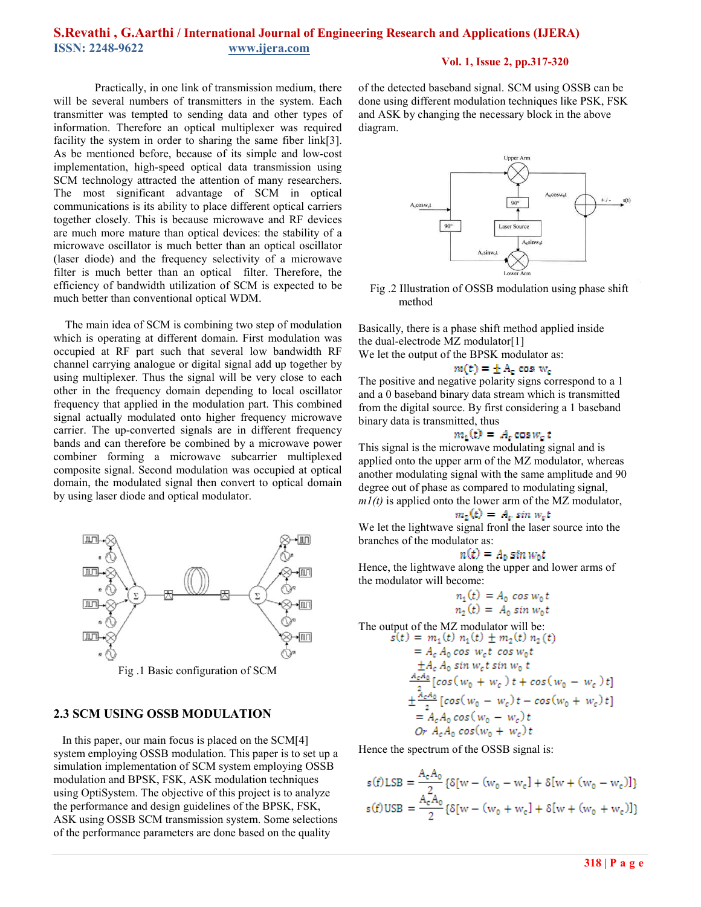## **S.Revathi , G.Aarthi / International Journal of Engineering Research and Applications (IJERA) ISSN: 2248-9622 www.ijera.com**

#### **Vol. 1, Issue 2, pp.317-320**

Practically, in one link of transmission medium, there will be several numbers of transmitters in the system. Each transmitter was tempted to sending data and other types of information. Therefore an optical multiplexer was required facility the system in order to sharing the same fiber link[3]. As be mentioned before, because of its simple and low-cost implementation, high-speed optical data transmission using SCM technology attracted the attention of many researchers. The most significant advantage of SCM in optical communications is its ability to place different optical carriers together closely. This is because microwave and RF devices are much more mature than optical devices: the stability of a microwave oscillator is much better than an optical oscillator (laser diode) and the frequency selectivity of a microwave filter is much better than an optical filter. Therefore, the efficiency of bandwidth utilization of SCM is expected to be much better than conventional optical WDM.

The main idea of SCM is combining two step of modulation which is operating at different domain. First modulation was occupied at RF part such that several low bandwidth RF channel carrying analogue or digital signal add up together by using multiplexer. Thus the signal will be very close to each other in the frequency domain depending to local oscillator frequency that applied in the modulation part. This combined signal actually modulated onto higher frequency microwave carrier. The up-converted signals are in different frequency bands and can therefore be combined by a microwave power combiner forming a microwave subcarrier multiplexed composite signal. Second modulation was occupied at optical domain, the modulated signal then convert to optical domain by using laser diode and optical modulator.



Fig .1 Basic configuration of SCM

## **2.3 SCM USING OSSB MODULATION**

 In this paper, our main focus is placed on the SCM[4] system employing OSSB modulation. This paper is to set up a simulation implementation of SCM system employing OSSB modulation and BPSK, FSK, ASK modulation techniques using OptiSystem. The objective of this project is to analyze the performance and design guidelines of the BPSK, FSK, ASK using OSSB SCM transmission system. Some selections of the performance parameters are done based on the quality

of the detected baseband signal. SCM using OSSB can be done using different modulation techniques like PSK, FSK and ASK by changing the necessary block in the above diagram.



Fig .2 Illustration of OSSB modulation using phase shift method

Basically, there is a phase shift method applied inside the dual-electrode MZ modulator[1] We let the output of the BPSK modulator as:

 $m(t) = \pm A_c \cos w_c$ 

The positive and negative polarity signs correspond to a 1 and a 0 baseband binary data stream which is transmitted from the digital source. By first considering a 1 baseband binary data is transmitted, thus

$$
n_1(t) = A_c \cos w_c t
$$

This signal is the microwave modulating signal and is applied onto the upper arm of the MZ modulator, whereas another modulating signal with the same amplitude and 90 degree out of phase as compared to modulating signal, *m1(t)* is applied onto the lower arm of the MZ modulator,

$$
m_2(t) = A_c \sin w_c t
$$

We let the lightwave signal fronl the laser source into the branches of the modulator as:

$$
n(t) = A_0 \sin w_0 t
$$

Hence, the lightwave along the upper and lower arms of the modulator will become:

$$
n_1(t) = A_0 \cos w_0 t
$$
  

$$
n_2(t) = A_0 \sin w_0 t
$$

The output of the MZ modulator will be:

$$
s(t) = m_1(t) n_1(t) \pm m_2(t) n_2(t)
$$
  
\n
$$
= A_c A_0 \cos w_c t \cos w_0 t
$$
  
\n
$$
\pm A_c A_0 \sin w_c t \sin w_0 t
$$
  
\n
$$
\frac{A_c A_0}{2} [\cos(w_0 + w_c) t + \cos(w_0 - w_c) t]
$$
  
\n
$$
\pm \frac{A_c A_0}{2} [\cos(w_0 - w_c) t - \cos(w_0 + w_c) t]
$$
  
\n
$$
= A_c A_0 \cos(w_0 - w_c) t
$$
  
\nOr  $A_c A_0 \cos(w_0 + w_c) t$ 

Hence the spectrum of the OSSB signal is:

$$
s(f) \text{LSB} = \frac{A_c A_0}{2} \{ \delta[w - (w_0 - w_c) + \delta[w + (w_0 - w_c)] \}
$$
  

$$
s(f) \text{USB} = \frac{A_c A_0}{2} \{ \delta[w - (w_0 + w_c) + \delta[w + (w_0 + w_c)] \}
$$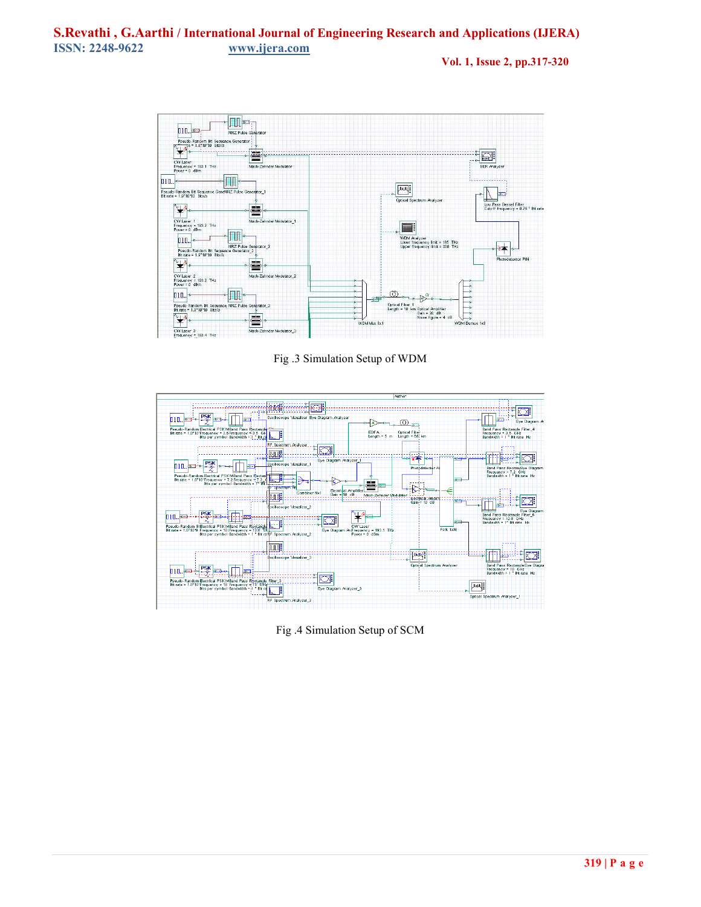**Vol. 1, Issue 2, pp.317-320**



Fig .3 Simulation Setup of WDM



Fig .4 Simulation Setup of SCM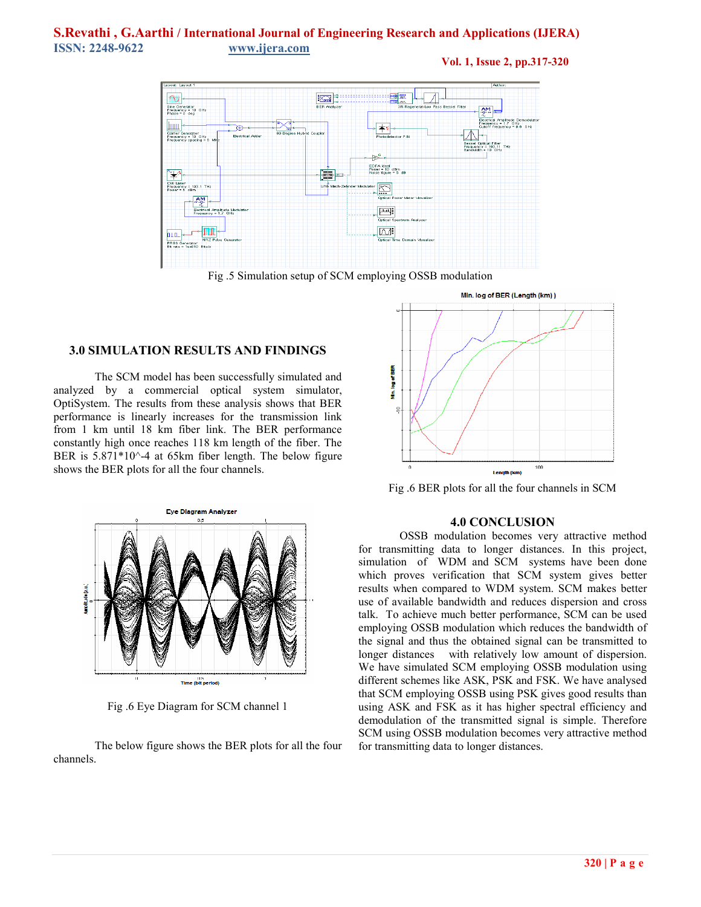## **S.Revathi , G.Aarthi / International Journal of Engineering Research and Applications (IJERA) ISSN: 2248-9622 www.ijera.com**

**Vol. 1, Issue 2, pp.317-320**



Fig .5 Simulation setup of SCM employing OSSB modulation

#### **3.0 SIMULATION RESULTS AND FINDINGS**

The SCM model has been successfully simulated and analyzed by a commercial optical system simulator, OptiSystem. The results from these analysis shows that BER performance is linearly increases for the transmission link from 1 km until 18 km fiber link. The BER performance constantly high once reaches 118 km length of the fiber. The BER is  $5.871*10^{\circ}$ -4 at 65km fiber length. The below figure shows the BER plots for all the four channels.



Fig .6 Eye Diagram for SCM channel 1

The below figure shows the BER plots for all the four channels.



Fig .6 BER plots for all the four channels in SCM

#### **4.0 CONCLUSION**

OSSB modulation becomes very attractive method for transmitting data to longer distances. In this project, simulation of WDM and SCM systems have been done which proves verification that SCM system gives better results when compared to WDM system. SCM makes better use of available bandwidth and reduces dispersion and cross talk. To achieve much better performance, SCM can be used employing OSSB modulation which reduces the bandwidth of the signal and thus the obtained signal can be transmitted to longer distances with relatively low amount of dispersion. We have simulated SCM employing OSSB modulation using different schemes like ASK, PSK and FSK. We have analysed that SCM employing OSSB using PSK gives good results than using ASK and FSK as it has higher spectral efficiency and demodulation of the transmitted signal is simple. Therefore SCM using OSSB modulation becomes very attractive method for transmitting data to longer distances.